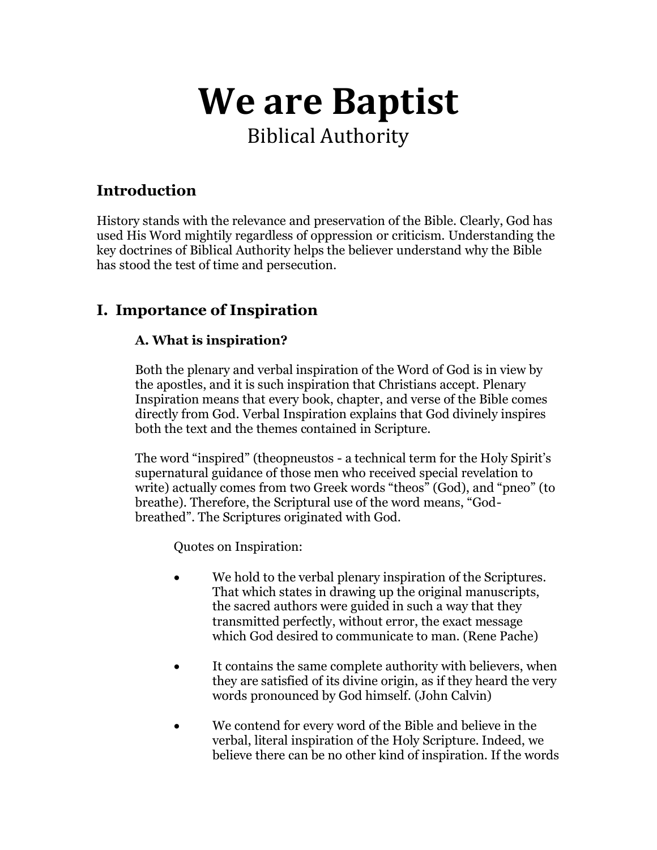# **We are Baptist**  Biblical Authority

# **Introduction**

History stands with the relevance and preservation of the Bible. Clearly, God has used His Word mightily regardless of oppression or criticism. Understanding the key doctrines of Biblical Authority helps the believer understand why the Bible has stood the test of time and persecution*.*

## **I. Importance of Inspiration**

## **A. What is inspiration?**

Both the plenary and verbal inspiration of the Word of God is in view by the apostles, and it is such inspiration that Christians accept. Plenary Inspiration means that every book, chapter, and verse of the Bible comes directly from God. Verbal Inspiration explains that God divinely inspires both the text and the themes contained in Scripture.

The word "inspired" (theopneustos - a technical term for the Holy Spirit's supernatural guidance of those men who received special revelation to write) actually comes from two Greek words "theos" (God), and "pneo" (to breathe). Therefore, the Scriptural use of the word means, "Godbreathed". The Scriptures originated with God.

Quotes on Inspiration:

- We hold to the verbal plenary inspiration of the Scriptures. That which states in drawing up the original manuscripts, the sacred authors were guided in such a way that they transmitted perfectly, without error, the exact message which God desired to communicate to man. (Rene Pache)
- It contains the same complete authority with believers, when they are satisfied of its divine origin, as if they heard the very words pronounced by God himself. (John Calvin)
- We contend for every word of the Bible and believe in the verbal, literal inspiration of the Holy Scripture. Indeed, we believe there can be no other kind of inspiration. If the words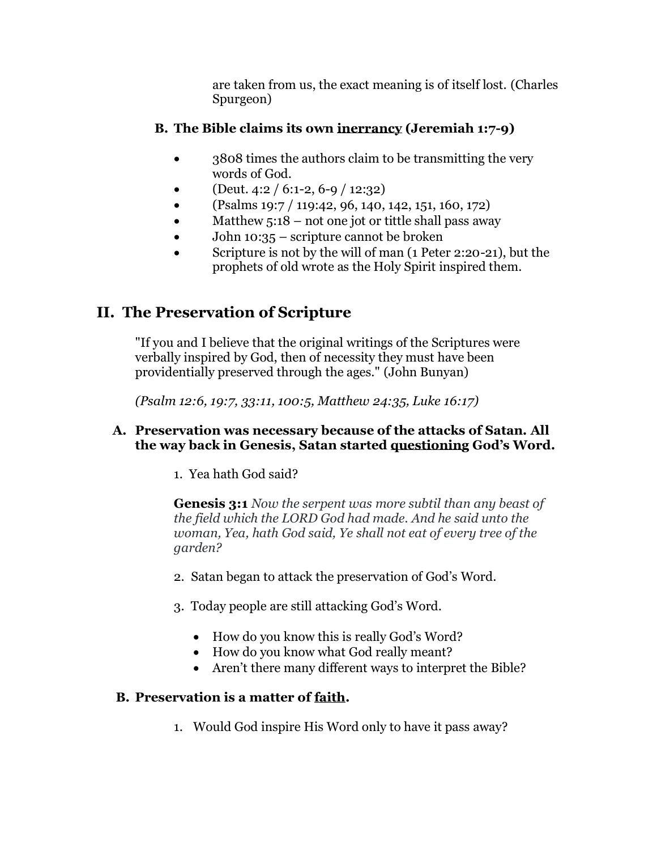are taken from us, the exact meaning is of itself lost. (Charles Spurgeon)

## **B. The Bible claims its own inerrancy (Jeremiah 1:7-9)**

- 3808 times the authors claim to be transmitting the very words of God.
- $(Deut. 4:2 / 6:1-2, 6-9 / 12:32)$
- (Psalms 19:7 / 119:42, 96, 140, 142, 151, 160, 172)
- Matthew  $5:18$  not one jot or tittle shall pass away
- John 10:35 scripture cannot be broken
- Scripture is not by the will of man (1 Peter 2:20-21), but the prophets of old wrote as the Holy Spirit inspired them.

# **II. The Preservation of Scripture**

"If you and I believe that the original writings of the Scriptures were verbally inspired by God, then of necessity they must have been providentially preserved through the ages." (John Bunyan)

*(Psalm 12:6, 19:7, 33:11, 100:5, Matthew 24:35, Luke 16:17)*

## **A. Preservation was necessary because of the attacks of Satan. All the way back in Genesis, Satan started questioning God's Word.**

1. Yea hath God said?

**Genesis 3:1** *Now the serpent was more subtil than any beast of the field which the LORD God had made. And he said unto the woman, Yea, hath God said, Ye shall not eat of every tree of the garden?*

- 2. Satan began to attack the preservation of God's Word.
- 3. Today people are still attacking God's Word.
	- How do you know this is really God's Word?
	- How do you know what God really meant?
	- Aren't there many different ways to interpret the Bible?

## **B. Preservation is a matter of faith.**

1. Would God inspire His Word only to have it pass away?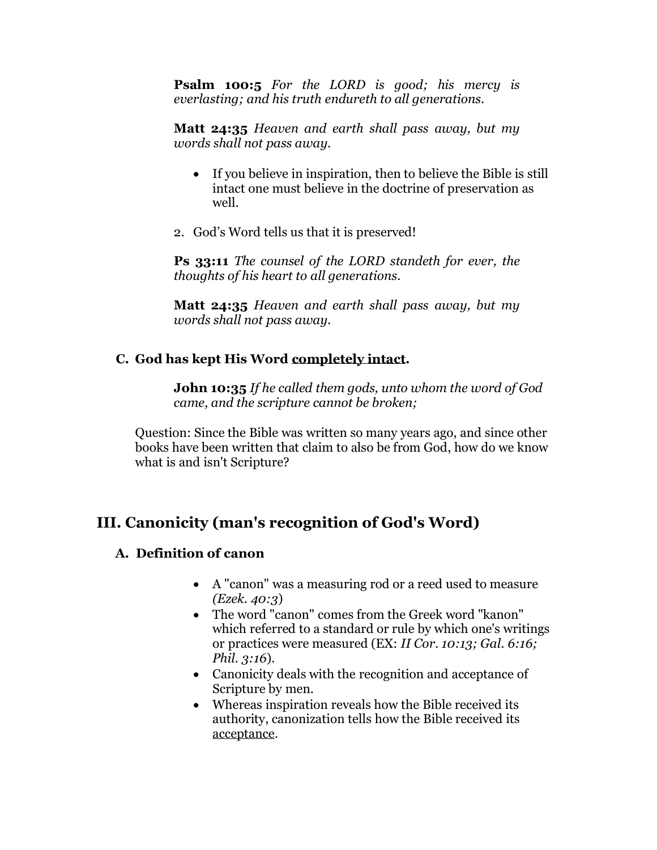**Psalm 100:5** *For the LORD is good; his mercy is everlasting; and his truth endureth to all generations.*

**Matt 24:35** *Heaven and earth shall pass away, but my words shall not pass away.*

- If you believe in inspiration, then to believe the Bible is still intact one must believe in the doctrine of preservation as well.
- 2. God's Word tells us that it is preserved!

**Ps 33:11** *The counsel of the LORD standeth for ever, the thoughts of his heart to all generations.*

**Matt 24:35** *Heaven and earth shall pass away, but my words shall not pass away.*

#### **C. God has kept His Word completely intact.**

**John 10:35** *If he called them gods, unto whom the word of God came, and the scripture cannot be broken;*

Question: Since the Bible was written so many years ago, and since other books have been written that claim to also be from God, how do we know what is and isn't Scripture?

## **III. Canonicity (man's recognition of God's Word)**

#### **A. Definition of canon**

- A "canon" was a measuring rod or a reed used to measure *(Ezek. 40:3*)
- The word "canon" comes from the Greek word "kanon" which referred to a standard or rule by which one's writings or practices were measured (EX: *II Cor. 10:13; Gal. 6:16; Phil. 3:16*).
- Canonicity deals with the recognition and acceptance of Scripture by men.
- Whereas inspiration reveals how the Bible received its authority, canonization tells how the Bible received its acceptance.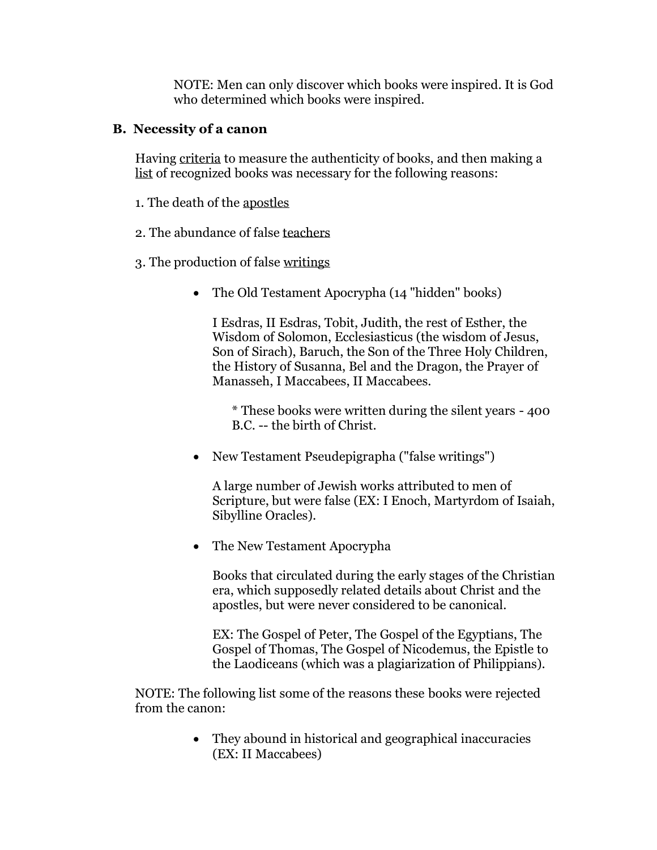NOTE: Men can only discover which books were inspired. It is God who determined which books were inspired.

#### **B. Necessity of a canon**

Having criteria to measure the authenticity of books, and then making a list of recognized books was necessary for the following reasons:

- 1. The death of the apostles
- 2. The abundance of false teachers
- 3. The production of false writings
	- The Old Testament Apocrypha (14 "hidden" books)

I Esdras, II Esdras, Tobit, Judith, the rest of Esther, the Wisdom of Solomon, Ecclesiasticus (the wisdom of Jesus, Son of Sirach), Baruch, the Son of the Three Holy Children, the History of Susanna, Bel and the Dragon, the Prayer of Manasseh, I Maccabees, II Maccabees.

\* These books were written during the silent years - 400 B.C. -- the birth of Christ.

• New Testament Pseudepigrapha ("false writings")

A large number of Jewish works attributed to men of Scripture, but were false (EX: I Enoch, Martyrdom of Isaiah, Sibylline Oracles).

• The New Testament Apocrypha

Books that circulated during the early stages of the Christian era, which supposedly related details about Christ and the apostles, but were never considered to be canonical.

EX: The Gospel of Peter, The Gospel of the Egyptians, The Gospel of Thomas, The Gospel of Nicodemus, the Epistle to the Laodiceans (which was a plagiarization of Philippians).

NOTE: The following list some of the reasons these books were rejected from the canon:

> • They abound in historical and geographical inaccuracies (EX: II Maccabees)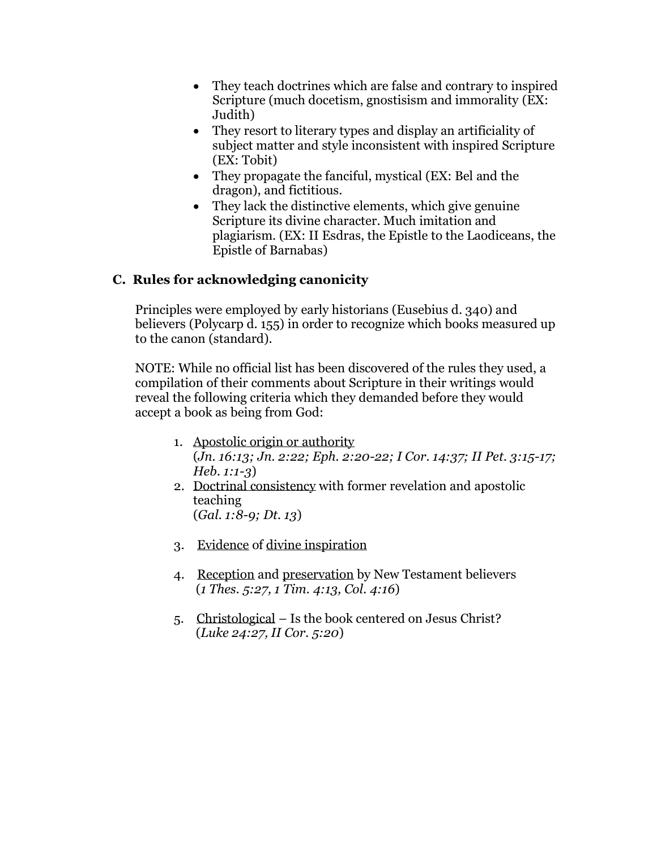- They teach doctrines which are false and contrary to inspired Scripture (much docetism, gnostisism and immorality (EX: Judith)
- They resort to literary types and display an artificiality of subject matter and style inconsistent with inspired Scripture (EX: Tobit)
- They propagate the fanciful, mystical (EX: Bel and the dragon), and fictitious.
- They lack the distinctive elements, which give genuine Scripture its divine character. Much imitation and plagiarism. (EX: II Esdras, the Epistle to the Laodiceans, the Epistle of Barnabas)

## **C. Rules for acknowledging canonicity**

Principles were employed by early historians (Eusebius d. 340) and believers (Polycarp d. 155) in order to recognize which books measured up to the canon (standard).

NOTE: While no official list has been discovered of the rules they used, a compilation of their comments about Scripture in their writings would reveal the following criteria which they demanded before they would accept a book as being from God:

- 1. Apostolic origin or authority (*Jn. 16:13; Jn. 2:22; Eph. 2:20-22; I Cor. 14:37; II Pet. 3:15-17; Heb. 1:1-3*)
- 2. Doctrinal consistency with former revelation and apostolic teaching (*Gal. 1:8-9; Dt. 13*)
- 3. Evidence of divine inspiration
- 4. Reception and preservation by New Testament believers (*1 Thes. 5:27, 1 Tim. 4:13, Col. 4:16*)
- 5. Christological Is the book centered on Jesus Christ? (*Luke 24:27, II Cor. 5:20*)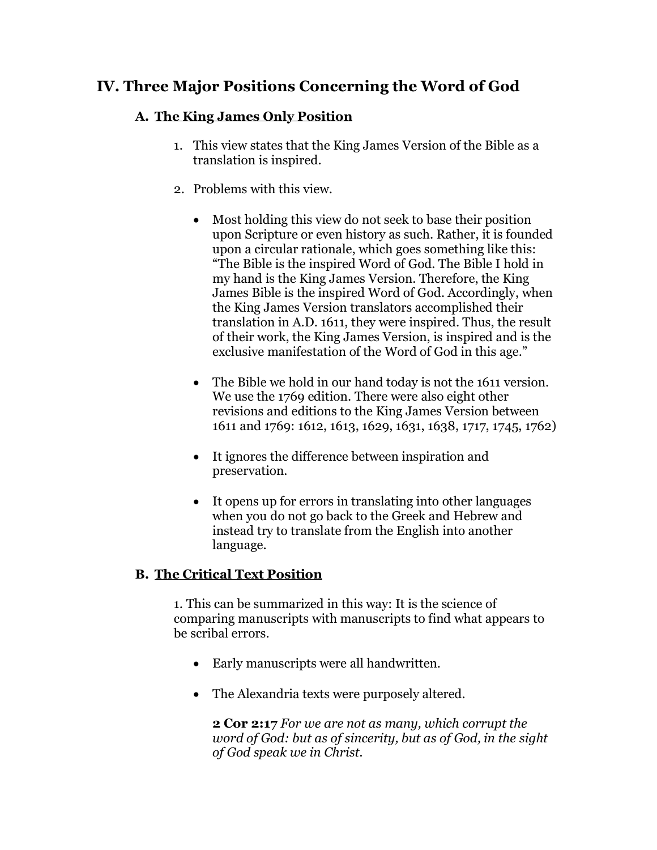## **IV. Three Major Positions Concerning the Word of God**

## **A. The King James Only Position**

- 1. This view states that the King James Version of the Bible as a translation is inspired.
- 2. Problems with this view.
	- Most holding this view do not seek to base their position upon Scripture or even history as such. Rather, it is founded upon a circular rationale, which goes something like this: "The Bible is the inspired Word of God. The Bible I hold in my hand is the King James Version. Therefore, the King James Bible is the inspired Word of God. Accordingly, when the King James Version translators accomplished their translation in A.D. 1611, they were inspired. Thus, the result of their work, the King James Version, is inspired and is the exclusive manifestation of the Word of God in this age."
	- The Bible we hold in our hand today is not the 1611 version. We use the 1769 edition. There were also eight other revisions and editions to the King James Version between 1611 and 1769: 1612, 1613, 1629, 1631, 1638, 1717, 1745, 1762)
	- It ignores the difference between inspiration and preservation.
	- It opens up for errors in translating into other languages when you do not go back to the Greek and Hebrew and instead try to translate from the English into another language.

## **B. The Critical Text Position**

1. This can be summarized in this way: It is the science of comparing manuscripts with manuscripts to find what appears to be scribal errors.

- Early manuscripts were all handwritten.
- The Alexandria texts were purposely altered.

**2 Cor 2:17** *For we are not as many, which corrupt the word of God: but as of sincerity, but as of God, in the sight of God speak we in Christ.*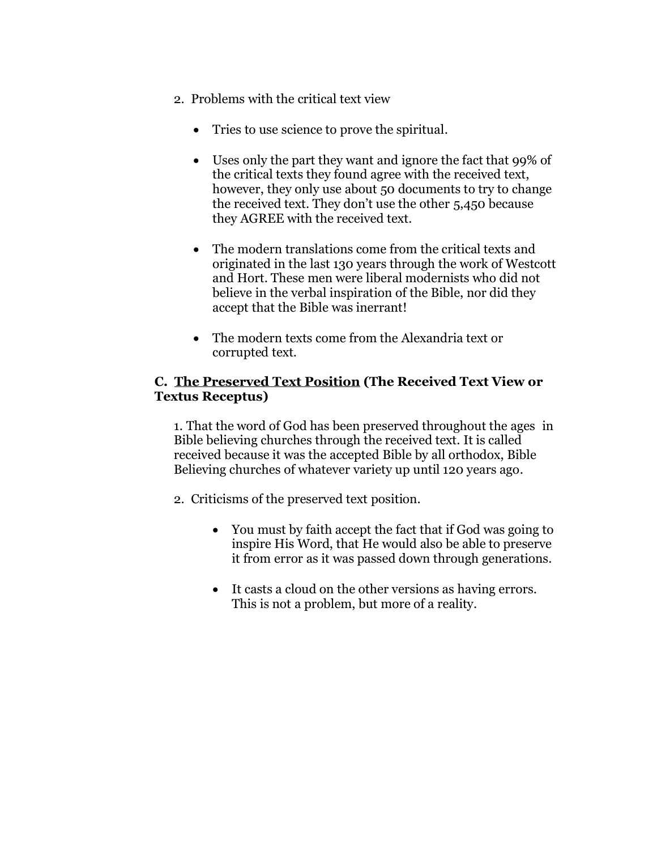- 2. Problems with the critical text view
	- Tries to use science to prove the spiritual.
	- Uses only the part they want and ignore the fact that 99% of the critical texts they found agree with the received text, however, they only use about 50 documents to try to change the received text. They don't use the other 5,450 because they AGREE with the received text.
	- The modern translations come from the critical texts and originated in the last 130 years through the work of Westcott and Hort. These men were liberal modernists who did not believe in the verbal inspiration of the Bible, nor did they accept that the Bible was inerrant!
	- The modern texts come from the Alexandria text or corrupted text.

#### **C. The Preserved Text Position (The Received Text View or Textus Receptus)**

1. That the word of God has been preserved throughout the ages in Bible believing churches through the received text. It is called received because it was the accepted Bible by all orthodox, Bible Believing churches of whatever variety up until 120 years ago.

2. Criticisms of the preserved text position.

- You must by faith accept the fact that if God was going to inspire His Word, that He would also be able to preserve it from error as it was passed down through generations.
- It casts a cloud on the other versions as having errors. This is not a problem, but more of a reality.